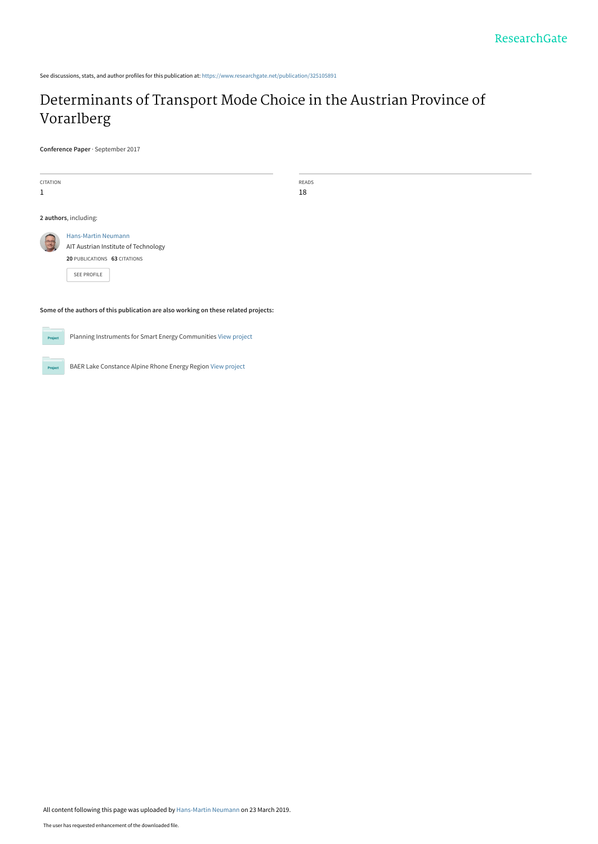See discussions, stats, and author profiles for this publication at: [https://www.researchgate.net/publication/325105891](https://www.researchgate.net/publication/325105891_Determinants_of_Transport_Mode_Choice_in_the_Austrian_Province_of_Vorarlberg?enrichId=rgreq-17469c8bf86edb30dead45736b000d2d-XXX&enrichSource=Y292ZXJQYWdlOzMyNTEwNTg5MTtBUzo3Mzk1NzkyMDQyMDY1OTdAMTU1MzM0MDgzMTgwNw%3D%3D&el=1_x_2&_esc=publicationCoverPdf)

# [Determinants of Transport Mode Choice in the Austrian Province of](https://www.researchgate.net/publication/325105891_Determinants_of_Transport_Mode_Choice_in_the_Austrian_Province_of_Vorarlberg?enrichId=rgreq-17469c8bf86edb30dead45736b000d2d-XXX&enrichSource=Y292ZXJQYWdlOzMyNTEwNTg5MTtBUzo3Mzk1NzkyMDQyMDY1OTdAMTU1MzM0MDgzMTgwNw%3D%3D&el=1_x_3&_esc=publicationCoverPdf) Vorarlberg

**Conference Paper** · September 2017

| CITATION                                                                            |                                                                                                                          | READS |  |  |
|-------------------------------------------------------------------------------------|--------------------------------------------------------------------------------------------------------------------------|-------|--|--|
| $\mathbf{1}$                                                                        |                                                                                                                          | 18    |  |  |
|                                                                                     |                                                                                                                          |       |  |  |
|                                                                                     | 2 authors, including:                                                                                                    |       |  |  |
| <b>AR</b>                                                                           | <b>Hans-Martin Neumann</b><br>AIT Austrian Institute of Technology<br>20 PUBLICATIONS 63 CITATIONS<br><b>SEE PROFILE</b> |       |  |  |
| Some of the authors of this publication are also working on these related projects: |                                                                                                                          |       |  |  |

**Project** 

Planning Instruments for Smart Energy Communities [View project](https://www.researchgate.net/project/Planning-Instruments-for-Smart-Energy-Communities?enrichId=rgreq-17469c8bf86edb30dead45736b000d2d-XXX&enrichSource=Y292ZXJQYWdlOzMyNTEwNTg5MTtBUzo3Mzk1NzkyMDQyMDY1OTdAMTU1MzM0MDgzMTgwNw%3D%3D&el=1_x_9&_esc=publicationCoverPdf)



BAER Lake Constance Alpine Rhone Energy Region [View project](https://www.researchgate.net/project/BAER-Lake-Constance-Alpine-Rhone-Energy-Region?enrichId=rgreq-17469c8bf86edb30dead45736b000d2d-XXX&enrichSource=Y292ZXJQYWdlOzMyNTEwNTg5MTtBUzo3Mzk1NzkyMDQyMDY1OTdAMTU1MzM0MDgzMTgwNw%3D%3D&el=1_x_9&_esc=publicationCoverPdf)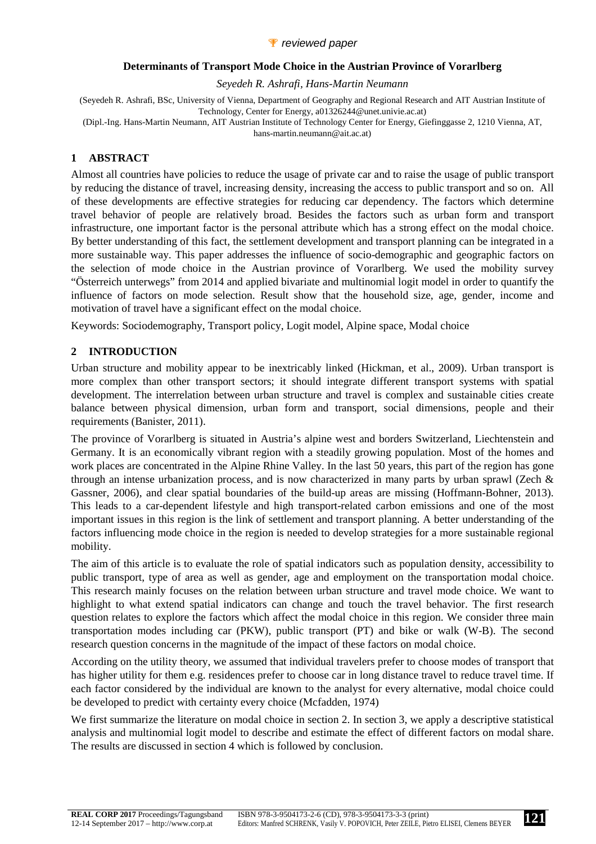## *P* reviewed paper

#### **Determinants of Transport Mode Choice in the Austrian Province of Vorarlberg**

*Seyedeh R. Ashrafi, Hans-Martin Neumann* 

(Seyedeh R. Ashrafi, BSc, University of Vienna, Department of Geography and Regional Research and AIT Austrian Institute of Technology, Center for Energy, a01326244@unet.univie.ac.at)

(Dipl.-Ing. Hans-Martin Neumann, AIT Austrian Institute of Technology Center for Energy, Giefinggasse 2, 1210 Vienna, AT,

hans-martin.neumann@ait.ac.at)

# **1 ABSTRACT**

Almost all countries have policies to reduce the usage of private car and to raise the usage of public transport by reducing the distance of travel, increasing density, increasing the access to public transport and so on. All of these developments are effective strategies for reducing car dependency. The factors which determine travel behavior of people are relatively broad. Besides the factors such as urban form and transport infrastructure, one important factor is the personal attribute which has a strong effect on the modal choice. By better understanding of this fact, the settlement development and transport planning can be integrated in a more sustainable way. This paper addresses the influence of socio-demographic and geographic factors on the selection of mode choice in the Austrian province of Vorarlberg. We used the mobility survey "Österreich unterwegs" from 2014 and applied bivariate and multinomial logit model in order to quantify the influence of factors on mode selection. Result show that the household size, age, gender, income and motivation of travel have a significant effect on the modal choice.

Keywords: Sociodemography, Transport policy, Logit model, Alpine space, Modal choice

# **2 INTRODUCTION**

Urban structure and mobility appear to be inextricably linked (Hickman, et al., 2009). Urban transport is more complex than other transport sectors; it should integrate different transport systems with spatial development. The interrelation between urban structure and travel is complex and sustainable cities create balance between physical dimension, urban form and transport, social dimensions, people and their requirements (Banister, 2011).

The province of Vorarlberg is situated in Austria's alpine west and borders Switzerland, Liechtenstein and Germany. It is an economically vibrant region with a steadily growing population. Most of the homes and work places are concentrated in the Alpine Rhine Valley. In the last 50 years, this part of the region has gone through an intense urbanization process, and is now characterized in many parts by urban sprawl (Zech & Gassner, 2006), and clear spatial boundaries of the build-up areas are missing (Hoffmann-Bohner, 2013). This leads to a car-dependent lifestyle and high transport-related carbon emissions and one of the most important issues in this region is the link of settlement and transport planning. A better understanding of the factors influencing mode choice in the region is needed to develop strategies for a more sustainable regional mobility.

The aim of this article is to evaluate the role of spatial indicators such as population density, accessibility to public transport, type of area as well as gender, age and employment on the transportation modal choice. This research mainly focuses on the relation between urban structure and travel mode choice. We want to highlight to what extend spatial indicators can change and touch the travel behavior. The first research question relates to explore the factors which affect the modal choice in this region. We consider three main transportation modes including car (PKW), public transport (PT) and bike or walk (W-B). The second research question concerns in the magnitude of the impact of these factors on modal choice.

According on the utility theory, we assumed that individual travelers prefer to choose modes of transport that has higher utility for them e.g. residences prefer to choose car in long distance travel to reduce travel time. If each factor considered by the individual are known to the analyst for every alternative, modal choice could be developed to predict with certainty every choice (Mcfadden, 1974)

We first summarize the literature on modal choice in section 2. In section 3, we apply a descriptive statistical analysis and multinomial logit model to describe and estimate the effect of different factors on modal share. The results are discussed in section 4 which is followed by conclusion.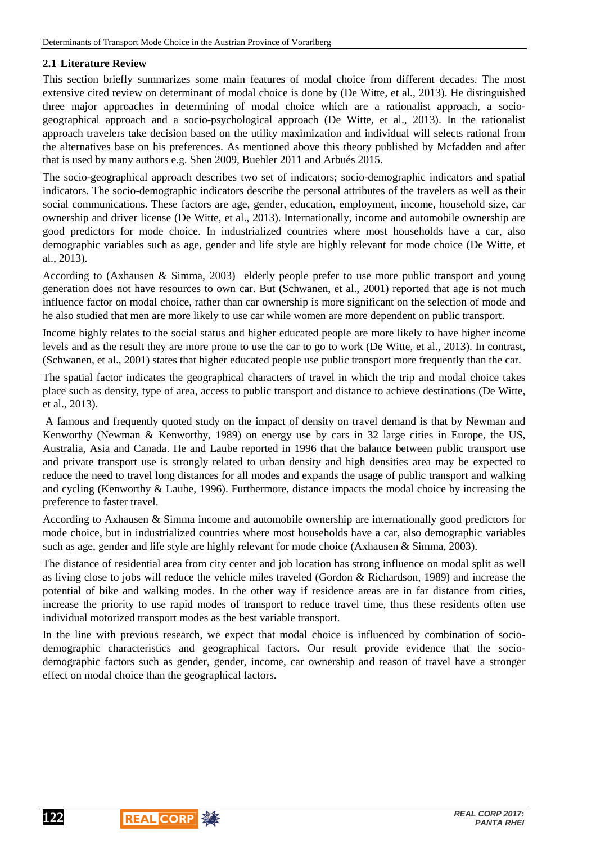# **2.1 Literature Review**

This section briefly summarizes some main features of modal choice from different decades. The most extensive cited review on determinant of modal choice is done by (De Witte, et al., 2013). He distinguished three major approaches in determining of modal choice which are a rationalist approach, a sociogeographical approach and a socio-psychological approach (De Witte, et al., 2013). In the rationalist approach travelers take decision based on the utility maximization and individual will selects rational from the alternatives base on his preferences. As mentioned above this theory published by Mcfadden and after that is used by many authors e.g. Shen 2009, Buehler 2011 and Arbués 2015.

The socio-geographical approach describes two set of indicators; socio-demographic indicators and spatial indicators. The socio-demographic indicators describe the personal attributes of the travelers as well as their social communications. These factors are age, gender, education, employment, income, household size, car ownership and driver license (De Witte, et al., 2013). Internationally, income and automobile ownership are good predictors for mode choice. In industrialized countries where most households have a car, also demographic variables such as age, gender and life style are highly relevant for mode choice (De Witte, et al., 2013).

According to (Axhausen & Simma, 2003) elderly people prefer to use more public transport and young generation does not have resources to own car. But (Schwanen, et al., 2001) reported that age is not much influence factor on modal choice, rather than car ownership is more significant on the selection of mode and he also studied that men are more likely to use car while women are more dependent on public transport.

Income highly relates to the social status and higher educated people are more likely to have higher income levels and as the result they are more prone to use the car to go to work (De Witte, et al., 2013). In contrast, (Schwanen, et al., 2001) states that higher educated people use public transport more frequently than the car.

The spatial factor indicates the geographical characters of travel in which the trip and modal choice takes place such as density, type of area, access to public transport and distance to achieve destinations (De Witte, et al., 2013).

 A famous and frequently quoted study on the impact of density on travel demand is that by Newman and Kenworthy (Newman & Kenworthy, 1989) on energy use by cars in 32 large cities in Europe, the US, Australia, Asia and Canada. He and Laube reported in 1996 that the balance between public transport use and private transport use is strongly related to urban density and high densities area may be expected to reduce the need to travel long distances for all modes and expands the usage of public transport and walking and cycling (Kenworthy & Laube, 1996). Furthermore, distance impacts the modal choice by increasing the preference to faster travel.

According to Axhausen & Simma income and automobile ownership are internationally good predictors for mode choice, but in industrialized countries where most households have a car, also demographic variables such as age, gender and life style are highly relevant for mode choice (Axhausen & Simma, 2003).

The distance of residential area from city center and job location has strong influence on modal split as well as living close to jobs will reduce the vehicle miles traveled (Gordon & Richardson, 1989) and increase the potential of bike and walking modes. In the other way if residence areas are in far distance from cities, increase the priority to use rapid modes of transport to reduce travel time, thus these residents often use individual motorized transport modes as the best variable transport.

In the line with previous research, we expect that modal choice is influenced by combination of sociodemographic characteristics and geographical factors. Our result provide evidence that the sociodemographic factors such as gender, gender, income, car ownership and reason of travel have a stronger effect on modal choice than the geographical factors.

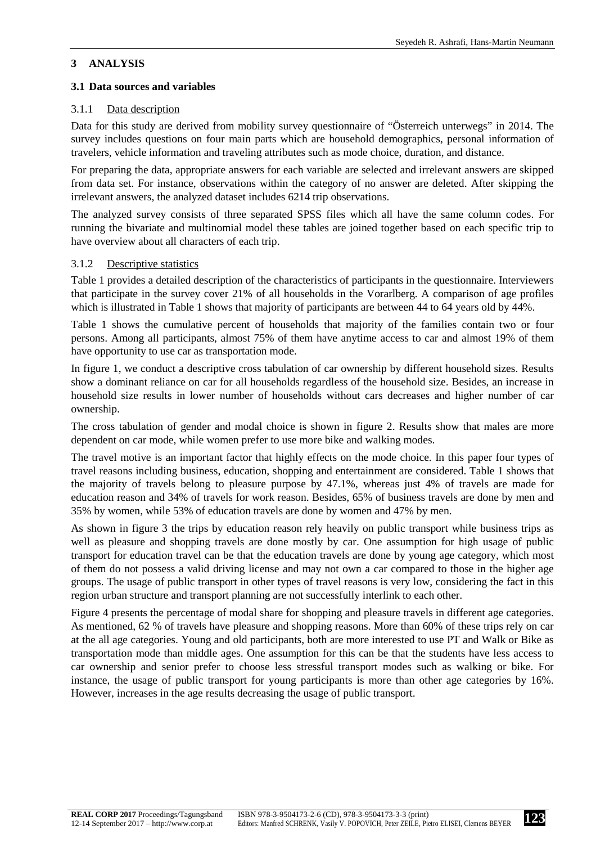# **3 ANALYSIS**

## **3.1 Data sources and variables**

#### 3.1.1 Data description

Data for this study are derived from mobility survey questionnaire of "Österreich unterwegs" in 2014. The survey includes questions on four main parts which are household demographics, personal information of travelers, vehicle information and traveling attributes such as mode choice, duration, and distance.

For preparing the data, appropriate answers for each variable are selected and irrelevant answers are skipped from data set. For instance, observations within the category of no answer are deleted. After skipping the irrelevant answers, the analyzed dataset includes 6214 trip observations.

The analyzed survey consists of three separated SPSS files which all have the same column codes. For running the bivariate and multinomial model these tables are joined together based on each specific trip to have overview about all characters of each trip.

#### 3.1.2 Descriptive statistics

Table 1 provides a detailed description of the characteristics of participants in the questionnaire. Interviewers that participate in the survey cover 21% of all households in the Vorarlberg. A comparison of age profiles which is illustrated in Table 1 shows that majority of participants are between 44 to 64 years old by 44%.

Table 1 shows the cumulative percent of households that majority of the families contain two or four persons. Among all participants, almost 75% of them have anytime access to car and almost 19% of them have opportunity to use car as transportation mode.

In figure 1, we conduct a descriptive cross tabulation of car ownership by different household sizes. Results show a dominant reliance on car for all households regardless of the household size. Besides, an increase in household size results in lower number of households without cars decreases and higher number of car ownership.

The cross tabulation of gender and modal choice is shown in figure 2. Results show that males are more dependent on car mode, while women prefer to use more bike and walking modes.

The travel motive is an important factor that highly effects on the mode choice. In this paper four types of travel reasons including business, education, shopping and entertainment are considered. Table 1 shows that the majority of travels belong to pleasure purpose by 47.1%, whereas just 4% of travels are made for education reason and 34% of travels for work reason. Besides, 65% of business travels are done by men and 35% by women, while 53% of education travels are done by women and 47% by men.

As shown in figure 3 the trips by education reason rely heavily on public transport while business trips as well as pleasure and shopping travels are done mostly by car. One assumption for high usage of public transport for education travel can be that the education travels are done by young age category, which most of them do not possess a valid driving license and may not own a car compared to those in the higher age groups. The usage of public transport in other types of travel reasons is very low, considering the fact in this region urban structure and transport planning are not successfully interlink to each other.

Figure 4 presents the percentage of modal share for shopping and pleasure travels in different age categories. As mentioned, 62 % of travels have pleasure and shopping reasons. More than 60% of these trips rely on car at the all age categories. Young and old participants, both are more interested to use PT and Walk or Bike as transportation mode than middle ages. One assumption for this can be that the students have less access to car ownership and senior prefer to choose less stressful transport modes such as walking or bike. For instance, the usage of public transport for young participants is more than other age categories by 16%. However, increases in the age results decreasing the usage of public transport.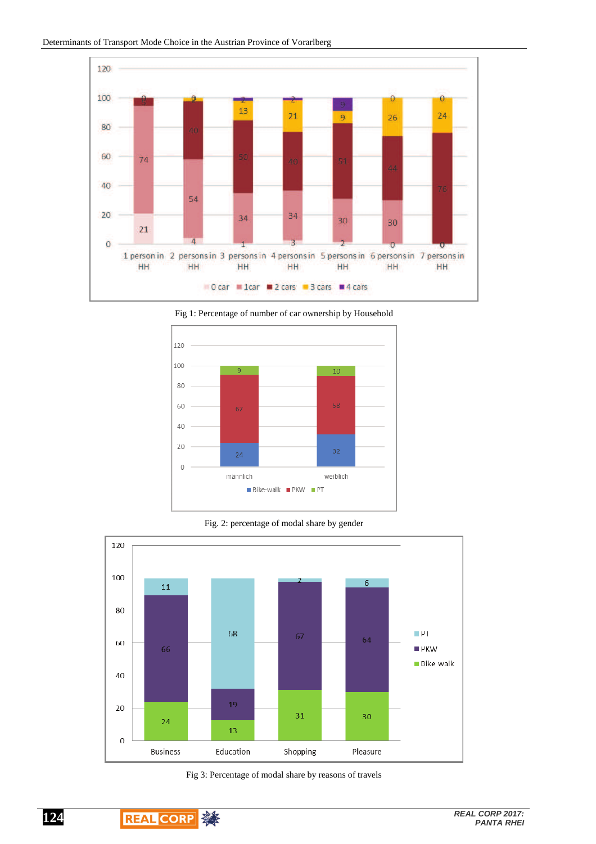

Fig 1: Percentage of number of car ownership by Household



Fig. 2: percentage of modal share by gender



Fig 3: Percentage of modal share by reasons of travels

**124**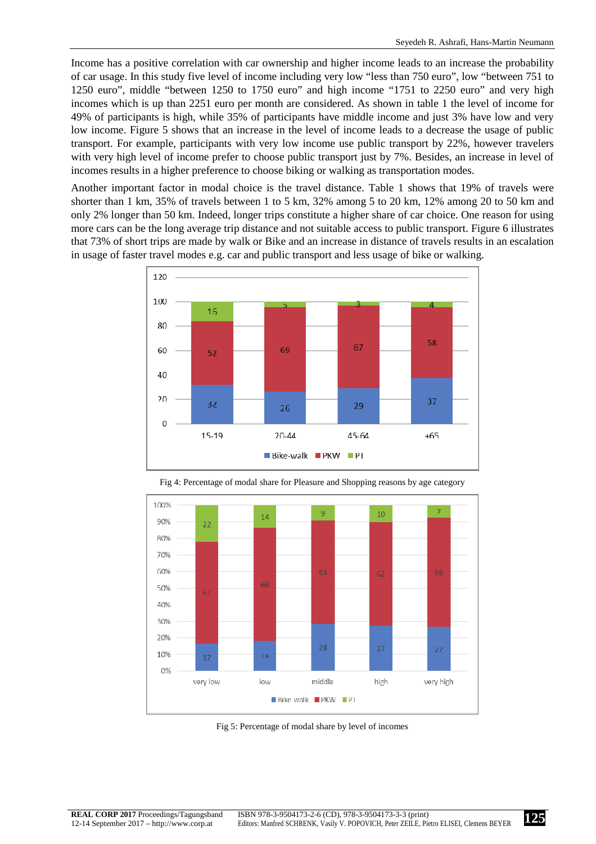Income has a positive correlation with car ownership and higher income leads to an increase the probability of car usage. In this study five level of income including very low "less than 750 euro", low "between 751 to 1250 euro", middle "between 1250 to 1750 euro" and high income "1751 to 2250 euro" and very high incomes which is up than 2251 euro per month are considered. As shown in table 1 the level of income for 49% of participants is high, while 35% of participants have middle income and just 3% have low and very low income. Figure 5 shows that an increase in the level of income leads to a decrease the usage of public transport. For example, participants with very low income use public transport by 22%, however travelers with very high level of income prefer to choose public transport just by 7%. Besides, an increase in level of incomes results in a higher preference to choose biking or walking as transportation modes.

Another important factor in modal choice is the travel distance. Table 1 shows that 19% of travels were shorter than 1 km, 35% of travels between 1 to 5 km, 32% among 5 to 20 km, 12% among 20 to 50 km and only 2% longer than 50 km. Indeed, longer trips constitute a higher share of car choice. One reason for using more cars can be the long average trip distance and not suitable access to public transport. Figure 6 illustrates that 73% of short trips are made by walk or Bike and an increase in distance of travels results in an escalation in usage of faster travel modes e.g. car and public transport and less usage of bike or walking.





Fig 4: Percentage of modal share for Pleasure and Shopping reasons by age category

Fig 5: Percentage of modal share by level of incomes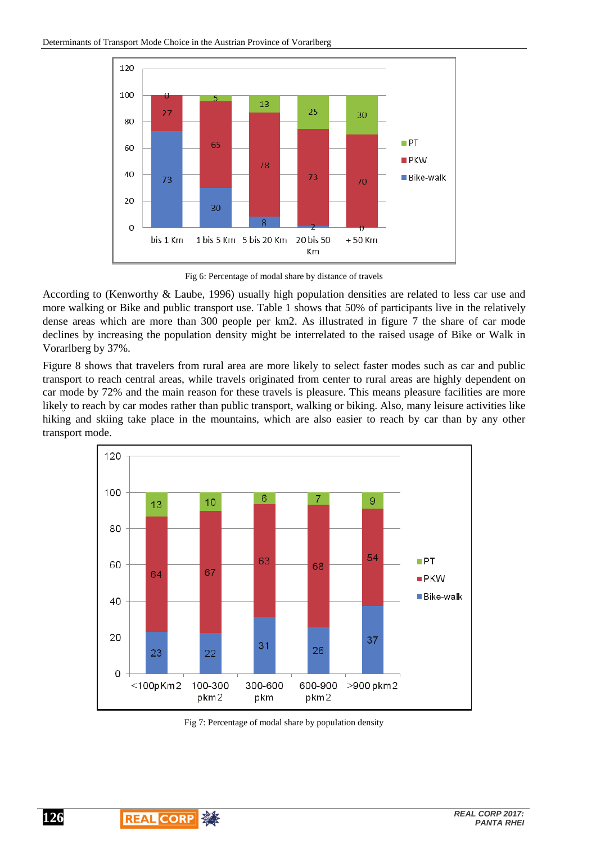

Fig 6: Percentage of modal share by distance of travels

According to (Kenworthy & Laube, 1996) usually high population densities are related to less car use and more walking or Bike and public transport use. Table 1 shows that 50% of participants live in the relatively dense areas which are more than 300 people per km2. As illustrated in figure 7 the share of car mode declines by increasing the population density might be interrelated to the raised usage of Bike or Walk in Vorarlberg by 37%.

Figure 8 shows that travelers from rural area are more likely to select faster modes such as car and public transport to reach central areas, while travels originated from center to rural areas are highly dependent on car mode by 72% and the main reason for these travels is pleasure. This means pleasure facilities are more likely to reach by car modes rather than public transport, walking or biking. Also, many leisure activities like hiking and skiing take place in the mountains, which are also easier to reach by car than by any other transport mode.



Fig 7: Percentage of modal share by population density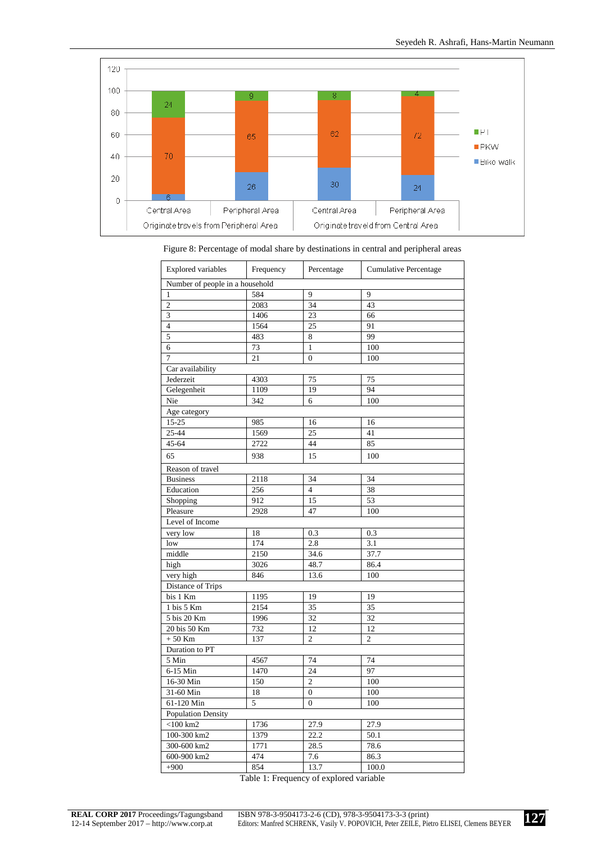

| <b>Explored variables</b>       | Frequency | Percentage       | Cumulative Percentage |
|---------------------------------|-----------|------------------|-----------------------|
| Number of people in a household |           |                  |                       |
| $\mathbf{1}$                    | 584       | 9                | 9                     |
| $\overline{2}$                  | 2083      | 34               | 43                    |
| 3                               | 1406      | 23               | 66                    |
| $\overline{\mathbf{4}}$         | 1564      | 25               | 91                    |
| 5                               | 483       | 8                | 99                    |
| $\overline{6}$                  | 73        | $\,1$            | 100                   |
| $\overline{7}$                  | 21        | $\mathbf{0}$     | 100                   |
| Car availability                |           |                  |                       |
| Jederzeit                       | 4303      | 75               | 75                    |
| Gelegenheit                     | 1109      | 19               | 94                    |
| Nie                             | 342       | 6                | 100                   |
| Age category                    |           |                  |                       |
| 15-25                           | 985       | 16               | 16                    |
| 25-44                           | 1569      | 25               | 41                    |
| 45-64                           | 2722      | 44               | 85                    |
| 65                              | 938       | 15               | 100                   |
| Reason of travel                |           |                  |                       |
| <b>Business</b>                 | 2118      | 34               | 34                    |
| Education                       | 256       | $\overline{4}$   | 38                    |
| Shopping                        | 912       | 15               | 53                    |
| Pleasure                        | 2928      | 47               | 100                   |
| Level of Income                 |           |                  |                       |
| very low                        | 18        | 0.3              | 0.3                   |
| low                             | 174       | 2.8              | 3.1                   |
| middle                          | 2150      | 34.6             | 37.7                  |
| high                            | 3026      | 48.7             | 86.4                  |
| very high                       | 846       | 13.6             | 100                   |
| Distance of Trips               |           |                  |                       |
| bis 1 Km                        | 1195      | 19               | 19                    |
| 1 bis 5 Km                      | 2154      | $\overline{35}$  | 35                    |
| 5 bis 20 Km                     | 1996      | 32               | 32                    |
| 20 bis 50 Km                    | 732       | 12               | 12                    |
| $+50$ Km                        | 137       | $\overline{c}$   | $\overline{c}$        |
| Duration to PT                  |           |                  |                       |
| 5 Min                           | 4567      | 74               | 74                    |
| 6-15 Min                        | 1470      | 24               | 97                    |
| 16-30 Min                       | 150       | $\overline{c}$   | 100                   |
| 31-60 Min                       | 18        | $\boldsymbol{0}$ | 100                   |
| 61-120 Min                      | 5         | $\overline{0}$   | 100                   |
| <b>Population Density</b>       |           |                  |                       |
| $\sqrt{100 \text{ km2}}$        | 1736      | 27.9             | 27.9                  |
| 100-300 km2                     | 1379      | 22.2             | 50.1                  |
| $300 - 600$ km <sup>2</sup>     | 1771      | 28.5             | 78.6                  |
| 600-900 km2                     | 474       | 7.6              | 86.3                  |
| $+900$                          | 854       | 13.7             | 100.0                 |
|                                 |           |                  |                       |

|  |  | Figure 8: Percentage of modal share by destinations in central and peripheral areas |
|--|--|-------------------------------------------------------------------------------------|
|--|--|-------------------------------------------------------------------------------------|

Table 1: Frequency of explored variable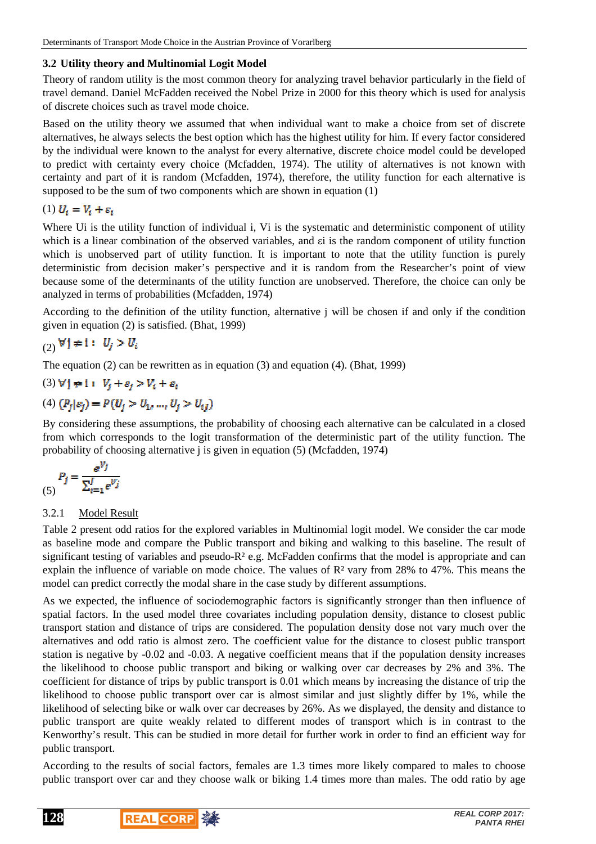# **3.2 Utility theory and Multinomial Logit Model**

Theory of random utility is the most common theory for analyzing travel behavior particularly in the field of travel demand. Daniel McFadden received the Nobel Prize in 2000 for this theory which is used for analysis of discrete choices such as travel mode choice.

Based on the utility theory we assumed that when individual want to make a choice from set of discrete alternatives, he always selects the best option which has the highest utility for him. If every factor considered by the individual were known to the analyst for every alternative, discrete choice model could be developed to predict with certainty every choice (Mcfadden, 1974). The utility of alternatives is not known with certainty and part of it is random (Mcfadden, 1974), therefore, the utility function for each alternative is supposed to be the sum of two components which are shown in equation (1)

# (1)  $U_i = V_i + \varepsilon_i$

Where Ui is the utility function of individual i. Vi is the systematic and deterministic component of utility which is a linear combination of the observed variables, and  $\varepsilon$  is the random component of utility function which is unobserved part of utility function. It is important to note that the utility function is purely deterministic from decision maker's perspective and it is random from the Researcher's point of view because some of the determinants of the utility function are unobserved. Therefore, the choice can only be analyzed in terms of probabilities (Mcfadden, 1974)

According to the definition of the utility function, alternative j will be chosen if and only if the condition given in equation (2) is satisfied. (Bhat, 1999)

$$
(2) \forall j \neq i: U_j > U_i
$$

The equation (2) can be rewritten as in equation (3) and equation (4). (Bhat, 1999)

# (3)  $\forall j \neq 1: V_i + \varepsilon_j > V_i + \varepsilon_i$

# (4)  $(P_i|\varepsilon_i) = P(U_i > U_1, ..., U_i > U_{i,l})$

By considering these assumptions, the probability of choosing each alternative can be calculated in a closed from which corresponds to the logit transformation of the deterministic part of the utility function. The probability of choosing alternative j is given in equation (5) (Mcfadden, 1974)

$$
P_j = \frac{e^{V_j}}{\sum_{i=1}^J e^{V_j}}
$$

## 3.2.1 Model Result

Table 2 present odd ratios for the explored variables in Multinomial logit model. We consider the car mode as baseline mode and compare the Public transport and biking and walking to this baseline. The result of significant testing of variables and pseudo-R<sup>2</sup> e.g. McFadden confirms that the model is appropriate and can explain the influence of variable on mode choice. The values of R² vary from 28% to 47%. This means the model can predict correctly the modal share in the case study by different assumptions.

As we expected, the influence of sociodemographic factors is significantly stronger than then influence of spatial factors. In the used model three covariates including population density, distance to closest public transport station and distance of trips are considered. The population density dose not vary much over the alternatives and odd ratio is almost zero. The coefficient value for the distance to closest public transport station is negative by -0.02 and -0.03. A negative coefficient means that if the population density increases the likelihood to choose public transport and biking or walking over car decreases by 2% and 3%. The coefficient for distance of trips by public transport is 0.01 which means by increasing the distance of trip the likelihood to choose public transport over car is almost similar and just slightly differ by 1%, while the likelihood of selecting bike or walk over car decreases by 26%. As we displayed, the density and distance to public transport are quite weakly related to different modes of transport which is in contrast to the Kenworthy's result. This can be studied in more detail for further work in order to find an efficient way for public transport.

According to the results of social factors, females are 1.3 times more likely compared to males to choose public transport over car and they choose walk or biking 1.4 times more than males. The odd ratio by age



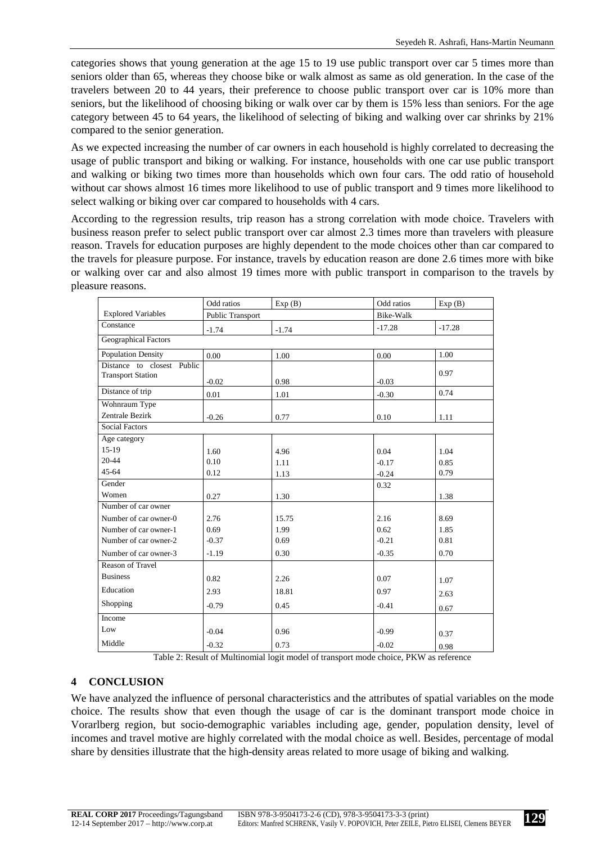categories shows that young generation at the age 15 to 19 use public transport over car 5 times more than seniors older than 65, whereas they choose bike or walk almost as same as old generation. In the case of the travelers between 20 to 44 years, their preference to choose public transport over car is 10% more than seniors, but the likelihood of choosing biking or walk over car by them is 15% less than seniors. For the age category between 45 to 64 years, the likelihood of selecting of biking and walking over car shrinks by 21% compared to the senior generation.

As we expected increasing the number of car owners in each household is highly correlated to decreasing the usage of public transport and biking or walking. For instance, households with one car use public transport and walking or biking two times more than households which own four cars. The odd ratio of household without car shows almost 16 times more likelihood to use of public transport and 9 times more likelihood to select walking or biking over car compared to households with 4 cars.

According to the regression results, trip reason has a strong correlation with mode choice. Travelers with business reason prefer to select public transport over car almost 2.3 times more than travelers with pleasure reason. Travels for education purposes are highly dependent to the mode choices other than car compared to the travels for pleasure purpose. For instance, travels by education reason are done 2.6 times more with bike or walking over car and also almost 19 times more with public transport in comparison to the travels by pleasure reasons.

|                            | Odd ratios       | Exp(B)  | Odd ratios | Exp(B)   |  |  |
|----------------------------|------------------|---------|------------|----------|--|--|
| <b>Explored Variables</b>  | Public Transport |         | Bike-Walk  |          |  |  |
| Constance                  | $-1.74$          | $-1.74$ | $-17.28$   | $-17.28$ |  |  |
| Geographical Factors       |                  |         |            |          |  |  |
| <b>Population Density</b>  | 0.00             | 1.00    | 0.00       | 1.00     |  |  |
| Distance to closest Public |                  |         |            |          |  |  |
| <b>Transport Station</b>   | $-0.02$          | 0.98    | $-0.03$    | 0.97     |  |  |
| Distance of trip           | 0.01             | 1.01    | $-0.30$    | 0.74     |  |  |
| Wohnraum Type              |                  |         |            |          |  |  |
| Zentrale Bezirk            | $-0.26$          | 0.77    | 0.10       | 1.11     |  |  |
| <b>Social Factors</b>      |                  |         |            |          |  |  |
| Age category               |                  |         |            |          |  |  |
| $15-19$                    | 1.60             | 4.96    | 0.04       | 1.04     |  |  |
| $20 - 44$                  | 0.10             | 1.11    | $-0.17$    | 0.85     |  |  |
| $45 - 64$                  | 0.12             | 1.13    | $-0.24$    | 0.79     |  |  |
| Gender                     |                  |         | 0.32       |          |  |  |
| Women                      | 0.27             | 1.30    |            | 1.38     |  |  |
| Number of car owner        |                  |         |            |          |  |  |
| Number of car owner-0      | 2.76             | 15.75   | 2.16       | 8.69     |  |  |
| Number of car owner-1      | 0.69             | 1.99    | 0.62       | 1.85     |  |  |
| Number of car owner-2      | $-0.37$          | 0.69    | $-0.21$    | 0.81     |  |  |
| Number of car owner-3      | $-1.19$          | 0.30    | $-0.35$    | 0.70     |  |  |
| <b>Reason of Travel</b>    |                  |         |            |          |  |  |
| <b>Business</b>            | 0.82             | 2.26    | 0.07       | 1.07     |  |  |
| Education                  | 2.93             | 18.81   | 0.97       | 2.63     |  |  |
| Shopping                   | $-0.79$          | 0.45    | $-0.41$    | 0.67     |  |  |
| Income                     |                  |         |            |          |  |  |
| Low                        | $-0.04$          | 0.96    | $-0.99$    | 0.37     |  |  |
| Middle                     | $-0.32$          | 0.73    | $-0.02$    | 0.98     |  |  |

Table 2: Result of Multinomial logit model of transport mode choice, PKW as reference

## **4 CONCLUSION**

We have analyzed the influence of personal characteristics and the attributes of spatial variables on the mode choice. The results show that even though the usage of car is the dominant transport mode choice in Vorarlberg region, but socio-demographic variables including age, gender, population density, level of incomes and travel motive are highly correlated with the modal choice as well. Besides, percentage of modal share by densities illustrate that the high-density areas related to more usage of biking and walking.